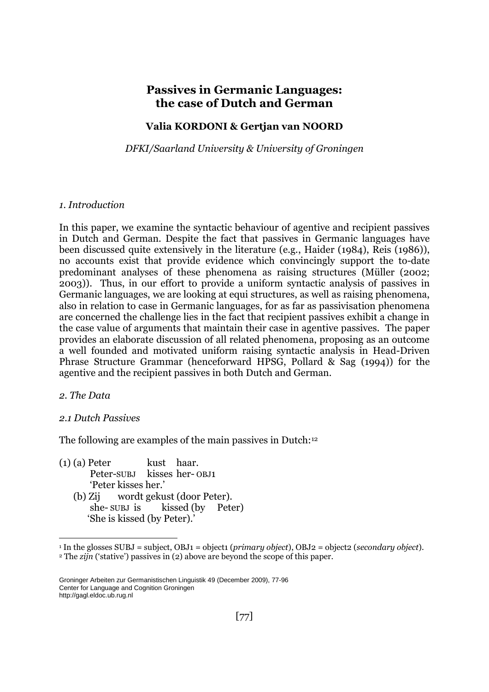# **Passives in Germanic Languages: the case of Dutch and German**

## **Valia KORDONI & Gertjan van NOORD**

*DFKI/Saarland University & University of Groningen*

## *1. Introduction*

In this paper, we examine the syntactic behaviour of agentive and recipient passives in Dutch and German. Despite the fact that passives in Germanic languages have been discussed quite extensively in the literature (e.g., Haider (1984), Reis (1986)), no accounts exist that provide evidence which convincingly support the to-date predominant analyses of these phenomena as raising structures (Müller (2002; 2003)). Thus, in our effort to provide a uniform syntactic analysis of passives in Germanic languages, we are looking at equi structures, as well as raising phenomena, also in relation to case in Germanic languages, for as far as passivisation phenomena are concerned the challenge lies in the fact that recipient passives exhibit a change in the case value of arguments that maintain their case in agentive passives. The paper provides an elaborate discussion of all related phenomena, proposing as an outcome a well founded and motivated uniform raising syntactic analysis in Head-Driven Phrase Structure Grammar (henceforward HPSG, Pollard & Sag (1994)) for the agentive and the recipient passives in both Dutch and German.

## *2. The Data*

<u>.</u>

## *2.1 Dutch Passives*

The following are examples of the main passives in Dutch:<sup>12</sup>

- $(1)$  (a) Peter kust haar. Peter-SUBJ kisses her- OBJ1 'Peter kisses her.' (b) Zij wordt gekust (door Peter).
	- she- SUBJ is kissed (by Peter) 'She is kissed (by Peter).'

<sup>1</sup> In the glosses SUBJ = subject, OBJ1 = object1 (*primary object*), OBJ2 = object2 (*secondary object*).

<sup>&</sup>lt;sup>2</sup> The *zijn* ('stative') passives in (2) above are beyond the scope of this paper.

Groninger Arbeiten zur Germanistischen Linguistik 49 (December 2009), 77-96 Center for Language and Cognition Groningen http://gagl.eldoc.ub.rug.nl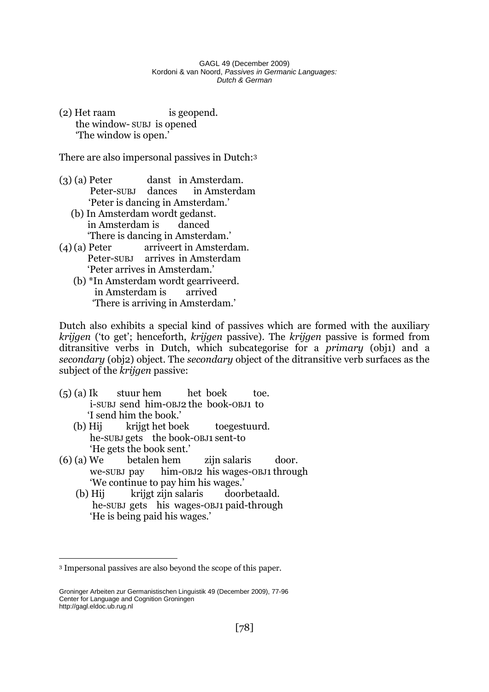(2) Het raam is geopend. the window- SUBJ is opened 'The window is open.'

There are also impersonal passives in Dutch:<sup>3</sup>

- (3) (a) Peter danst in Amsterdam. Peter-SUBJ dances in Amsterdam 'Peter is dancing in Amsterdam.'
	- (b) In Amsterdam wordt gedanst. in Amsterdam is danced 'There is dancing in Amsterdam.'
- (4)(a) Peter arriveert in Amsterdam. Peter-SUBJ arrives in Amsterdam 'Peter arrives in Amsterdam.'
	- (b) \*In Amsterdam wordt gearriveerd. in Amsterdam is arrived 'There is arriving in Amsterdam.'

Dutch also exhibits a special kind of passives which are formed with the auxiliary *krijgen* ('to get'; henceforth, *krijgen* passive). The *krijgen* passive is formed from ditransitive verbs in Dutch, which subcategorise for a *primary* (obj1) and a *secondary* (obj2) object. The *secondary* object of the ditransitive verb surfaces as the subject of the *krijgen* passive:

- $(5)$  (a) Ik stuur hem het boek toe. i-SUBJ send him-OBJ2 the book-OBJ1 to 'I send him the book.'
	- (b) Hij krijgt het boek toegestuurd. he-SUBJ gets the book-OBJ1 sent-to 'He gets the book sent.'
- (6) (a) We betalen hem zijn salaris door. we-SUBJ pay him-OBJ2 his wages-OBJ1 through 'We continue to pay him his wages.'
	- (b) Hij krijgt zijn salaris doorbetaald. he-SUBJ gets his wages-OBJ1 paid-through 'He is being paid his wages.'

<u>.</u>

<sup>3</sup> Impersonal passives are also beyond the scope of this paper.

Groninger Arbeiten zur Germanistischen Linguistik 49 (December 2009), 77-96 Center for Language and Cognition Groningen http://gagl.eldoc.ub.rug.nl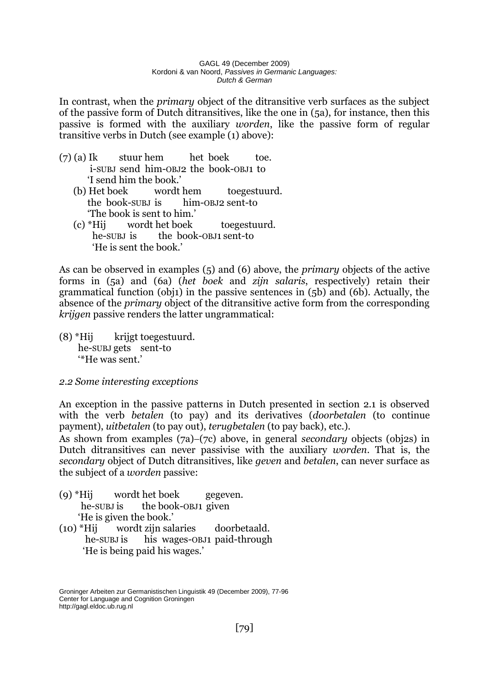In contrast, when the *primary* object of the ditransitive verb surfaces as the subject of the passive form of Dutch ditransitives, like the one in (5a), for instance, then this passive is formed with the auxiliary *worden*, like the passive form of regular transitive verbs in Dutch (see example (1) above):

- (7) (a) Ik stuur hem het boek toe. i-SUBJ send him-OBJ2 the book-OBJ1 to 'I send him the book.'
	- (b) Het boek wordt hem toegestuurd. the book-SUBJ is him-OBJ2 sent-to 'The book is sent to him.'
	- (c) \*Hij wordt het boek toegestuurd. he-SUBJ is the book-OBJ1 sent-to 'He is sent the book.'

As can be observed in examples (5) and (6) above, the *primary* objects of the active forms in (5a) and (6a) (*het boek* and *zijn salaris*, respectively) retain their grammatical function (obj1) in the passive sentences in (5b) and (6b). Actually, the absence of the *primary* object of the ditransitive active form from the corresponding *krijgen* passive renders the latter ungrammatical:

 $(8)$  \*Hij krijgt toegestuurd. he-SUBJ gets sent-to '\*He was sent.'

# *2.2 Some interesting exceptions*

An exception in the passive patterns in Dutch presented in section 2.1 is observed with the verb *betalen* (to pay) and its derivatives (*doorbetalen* (to continue payment), *uitbetalen* (to pay out), *terugbetalen* (to pay back), etc.).

As shown from examples (7a)–(7c) above, in general *secondary* objects (obj2s) in Dutch ditransitives can never passivise with the auxiliary *worden*. That is, the *secondary* object of Dutch ditransitives, like *geven* and *betalen*, can never surface as the subject of a *worden* passive:

- (9) \*Hij wordt het boek gegeven. he-SUBJ is the book-OBJ1 given 'He is given the book.'
- (10) \*Hij wordt zijn salaries doorbetaald. he-SUBJ is his wages-OBJ1 paid-through 'He is being paid his wages.'

Groninger Arbeiten zur Germanistischen Linguistik 49 (December 2009), 77-96 Center for Language and Cognition Groningen http://gagl.eldoc.ub.rug.nl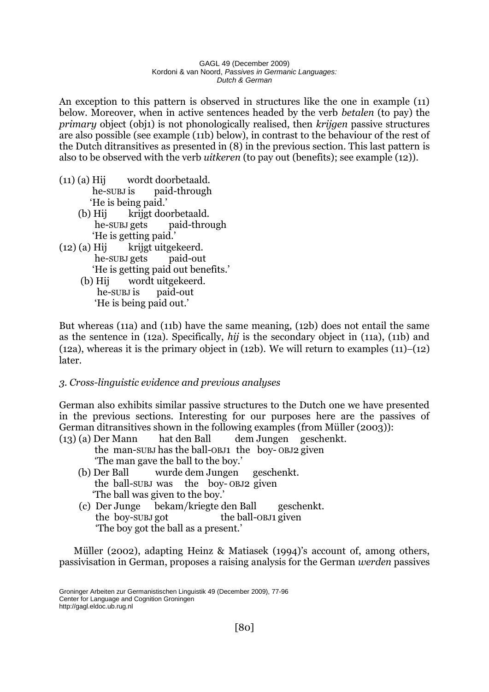An exception to this pattern is observed in structures like the one in example (11) below. Moreover, when in active sentences headed by the verb *betalen* (to pay) the *primary* object (obj1) is not phonologically realised, then *krijgen* passive structures are also possible (see example (11b) below), in contrast to the behaviour of the rest of the Dutch ditransitives as presented in (8) in the previous section. This last pattern is also to be observed with the verb *uitkeren* (to pay out (benefits); see example (12)).

- (11) (a) Hij wordt doorbetaald. he-SUBJ is paid-through 'He is being paid.'
	- (b) Hij krijgt doorbetaald. he-SUBJ gets paid-through 'He is getting paid.'
- $(12)$  (a) Hij krijgt uitgekeerd. he-SUBJ gets paid-out 'He is getting paid out benefits.'
	- (b) Hij wordt uitgekeerd. he-SUBJ is paid-out 'He is being paid out.'

But whereas (11a) and (11b) have the same meaning, (12b) does not entail the same as the sentence in (12a). Specifically, *hij* is the secondary object in (11a), (11b) and (12a), whereas it is the primary object in (12b). We will return to examples  $(11)-(12)$ later.

# *3. Cross-linguistic evidence and previous analyses*

German also exhibits similar passive structures to the Dutch one we have presented in the previous sections. Interesting for our purposes here are the passives of German ditransitives shown in the following examples (from Müller (2003)):

- (13) (a) Der Mann hat den Ball dem Jungen geschenkt. the man-SUBJ has the ball-OBJ1 the boy- OBJ2 given 'The man gave the ball to the boy.'
	- (b) Der Ball wurde dem Jungen geschenkt. the ball-SUBJ was the boy- OBJ2 given 'The ball was given to the boy.'
	- (c) Der Junge bekam/kriegte den Ball geschenkt. the boy-SUBJ got the ball-OBJ1 given 'The boy got the ball as a present.'

Müller (2002), adapting Heinz & Matiasek (1994)'s account of, among others, passivisation in German, proposes a raising analysis for the German *werden* passives

Groninger Arbeiten zur Germanistischen Linguistik 49 (December 2009), 77-96 Center for Language and Cognition Groningen http://gagl.eldoc.ub.rug.nl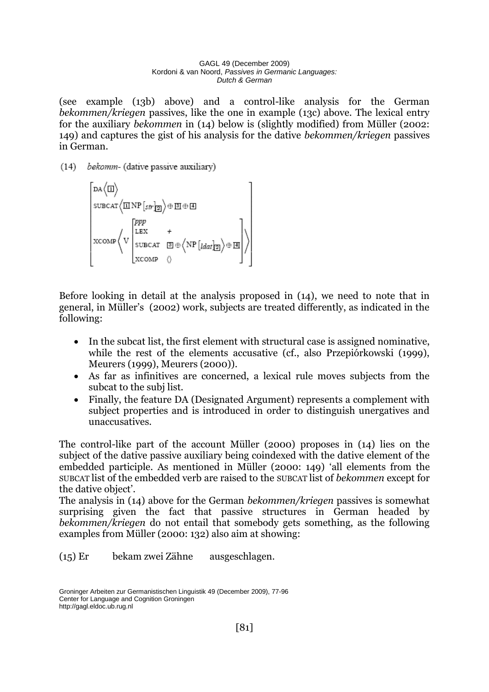(see example (13b) above) and a control-like analysis for the German *bekommen/kriegen* passives, like the one in example (13c) above. The lexical entry for the auxiliary *bekommen* in (14) below is (slightly modified) from Müller (2002: 149) and captures the gist of his analysis for the dative *bekommen/kriegen* passives in German.

(14) bekomm- (dative passive auxiliary)

$$
\begin{bmatrix}\n\text{DA}\langle\mathbf{I}|\rangle \\
\text{SUBCAT}\langle\mathbf{I}\mathbf{I}\mathbf{NP}[s\mathit{tr}]\mathbf{B}|\rangle\oplus\mathbf{I}\mathbf{I}\oplus\mathbf{I}\mathbf{I} \\
\text{SUBCAT}\n\end{bmatrix}
$$
\n
$$
\text{XCOMP}\langle\mathbf{V}\begin{bmatrix}\n\text{PPP} \\
\text{SUBCAT} & \mathbf{I}\n\end{bmatrix}\oplus\langle\mathbf{NP}[t\mathit{dat}]\mathbf{B}|\rangle\oplus\mathbf{I}\mathbf{I}\n\end{bmatrix}\rangle
$$

Before looking in detail at the analysis proposed in (14), we need to note that in general, in Müller's (2002) work, subjects are treated differently, as indicated in the following:

- In the subcat list, the first element with structural case is assigned nominative, while the rest of the elements accusative (cf., also Przepiórkowski (1999), Meurers (1999), Meurers (2000)).
- As far as infinitives are concerned, a lexical rule moves subjects from the subcat to the subj list.
- Finally, the feature DA (Designated Argument) represents a complement with subject properties and is introduced in order to distinguish unergatives and unaccusatives.

The control-like part of the account Müller (2000) proposes in (14) lies on the subject of the dative passive auxiliary being coindexed with the dative element of the embedded participle. As mentioned in Müller (2000: 149) 'all elements from the SUBCAT list of the embedded verb are raised to the SUBCAT list of *bekommen* except for the dative object'.

The analysis in (14) above for the German *bekommen/kriegen* passives is somewhat surprising given the fact that passive structures in German headed by *bekommen/kriegen* do not entail that somebody gets something, as the following examples from Müller (2000: 132) also aim at showing:

(15) Er bekam zwei Zähne ausgeschlagen.

Groninger Arbeiten zur Germanistischen Linguistik 49 (December 2009), 77-96 Center for Language and Cognition Groningen http://gagl.eldoc.ub.rug.nl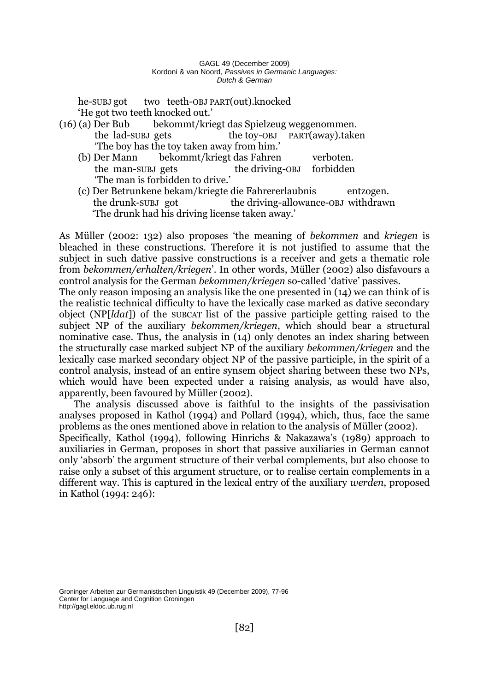he-SUBJ got two teeth-OBJ PART(out).knocked 'He got two teeth knocked out.'

- (16) (a) Der Bub bekommt/kriegt das Spielzeug weggenommen. the lad-SUBJ gets the toy-OBJ PART(away).taken 'The boy has the toy taken away from him.'
	- (b) Der Mann bekommt/kriegt das Fahren verboten. the man-SUBJ gets the driving-OBJ forbidden 'The man is forbidden to drive.'
	- (c) Der Betrunkene bekam/kriegte die Fahrererlaubnis entzogen. the drunk-SUBJ got the driving-allowance-OBJ withdrawn 'The drunk had his driving license taken away.'

As Müller (2002: 132) also proposes 'the meaning of *bekommen* and *kriegen* is bleached in these constructions. Therefore it is not justified to assume that the subject in such dative passive constructions is a receiver and gets a thematic role from *bekommen/erhalten/kriegen*'. In other words, Müller (2002) also disfavours a control analysis for the German *bekommen/kriegen* so-called 'dative' passives.

The only reason imposing an analysis like the one presented in (14) we can think of is the realistic technical difficulty to have the lexically case marked as dative secondary object (NP[*ldat*]) of the SUBCAT list of the passive participle getting raised to the subject NP of the auxiliary *bekommen/kriegen*, which should bear a structural nominative case. Thus, the analysis in (14) only denotes an index sharing between the structurally case marked subject NP of the auxiliary *bekommen/kriegen* and the lexically case marked secondary object NP of the passive participle, in the spirit of a control analysis, instead of an entire synsem object sharing between these two NPs, which would have been expected under a raising analysis, as would have also, apparently, been favoured by Müller (2002).

The analysis discussed above is faithful to the insights of the passivisation analyses proposed in Kathol (1994) and Pollard (1994), which, thus, face the same problems as the ones mentioned above in relation to the analysis of Müller (2002). Specifically, Kathol (1994), following Hinrichs & Nakazawa's (1989) approach to auxiliaries in German, proposes in short that passive auxiliaries in German cannot

only 'absorb' the argument structure of their verbal complements, but also choose to raise only a subset of this argument structure, or to realise certain complements in a different way. This is captured in the lexical entry of the auxiliary *werden*, proposed in Kathol (1994: 246):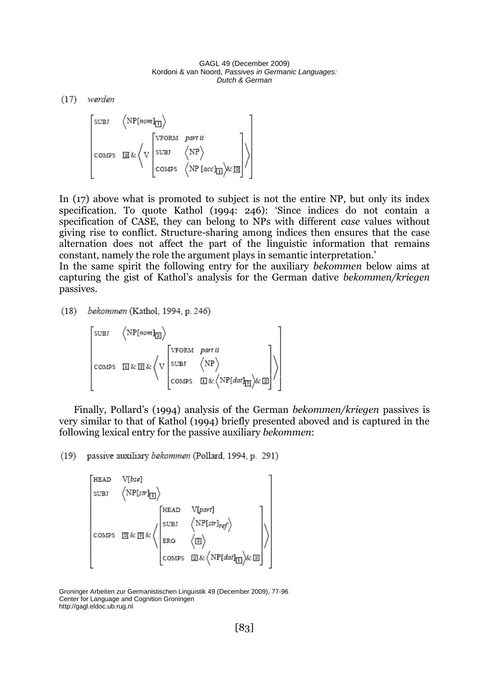$(17)$  werden



In (17) above what is promoted to subject is not the entire NP, but only its index specification. To quote Kathol (1994: 246): 'Since indices do not contain a specification of CASE, they can belong to NPs with different *case* values without giving rise to conflict. Structure-sharing among indices then ensures that the case alternation does not affect the part of the linguistic information that remains constant, namely the role the argument plays in semantic interpretation.'

In the same spirit the following entry for the auxiliary *bekommen* below aims at capturing the gist of Kathol's analysis for the German dative *bekommen/kriegen* passives.

(18) bekommen (Kathol, 1994, p. 246)

 $\begin{bmatrix} \texttt{SUBI} & \left\langle \texttt{NP}[\textit{nom}]_{\texttt{3}} \right\rangle \\ \\ \texttt{COMPS} & \texttt{II} \& \texttt{II} \& \left\langle \texttt{V} \left| \begin{matrix} \texttt{VPORM} & \textit{part ii} \\ \texttt{SUBI} & \left\langle \texttt{NP} \right\rangle \\ \\ \texttt{COMPS} & \texttt{II} \& \left\langle \texttt{NP} \left| \begin{matrix} \texttt{diff} \\ \texttt{SUBI} & \left\langle \texttt{NP} \right\rangle \\ \\ \texttt{COMPS} & \texttt{II} \& \left\langle \texttt{NP}[\textit$ 

Finally, Pollard's (1994) analysis of the German *bekommen/kriegen* passives is very similar to that of Kathol (1994) briefly presented aboved and is captured in the following lexical entry for the passive auxiliary *bekommen*:

(19) passive auxiliary bekommen (Pollard, 1994, p. 291)

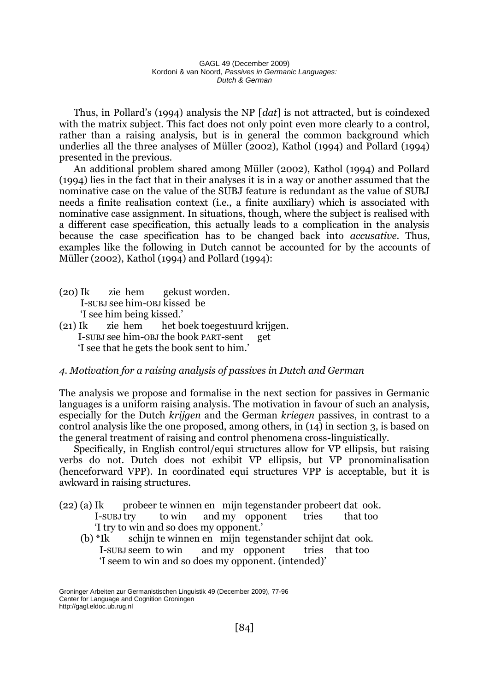Thus, in Pollard's (1994) analysis the NP [*dat*] is not attracted, but is coindexed with the matrix subject. This fact does not only point even more clearly to a control, rather than a raising analysis, but is in general the common background which underlies all the three analyses of Müller (2002), Kathol (1994) and Pollard (1994) presented in the previous.

An additional problem shared among Müller (2002), Kathol (1994) and Pollard (1994) lies in the fact that in their analyses it is in a way or another assumed that the nominative case on the value of the SUBJ feature is redundant as the value of SUBJ needs a finite realisation context (i.e., a finite auxiliary) which is associated with nominative case assignment. In situations, though, where the subject is realised with a different case specification, this actually leads to a complication in the analysis because the case specification has to be changed back into *accusative*. Thus, examples like the following in Dutch cannot be accounted for by the accounts of Müller (2002), Kathol (1994) and Pollard (1994):

- (20) Ik zie hem gekust worden. I-SUBJ see him-OBJ kissed be 'I see him being kissed.'
- (21) Ik zie hem het boek toegestuurd krijgen. I-SUBJ see him-OBJ the book PART-sent get 'I see that he gets the book sent to him.'

### *4. Motivation for a raising analysis of passives in Dutch and German*

The analysis we propose and formalise in the next section for passives in Germanic languages is a uniform raising analysis. The motivation in favour of such an analysis, especially for the Dutch *krijgen* and the German *kriegen* passives, in contrast to a control analysis like the one proposed, among others, in (14) in section 3, is based on the general treatment of raising and control phenomena cross-linguistically.

Specifically, in English control/equi structures allow for VP ellipsis, but raising verbs do not. Dutch does not exhibit VP ellipsis, but VP pronominalisation (henceforward VPP). In coordinated equi structures VPP is acceptable, but it is awkward in raising structures.

- (22) (a) Ik probeer te winnen en mijn tegenstander probeert dat ook. I-SUBJ try to win and my opponent tries that too 'I try to win and so does my opponent.'
	- (b) \*Ik schijn te winnen en mijn tegenstander schijnt dat ook. I-SUBJ seem to win and my opponent tries that too 'I seem to win and so does my opponent. (intended)'

Groninger Arbeiten zur Germanistischen Linguistik 49 (December 2009), 77-96 Center for Language and Cognition Groningen http://gagl.eldoc.ub.rug.nl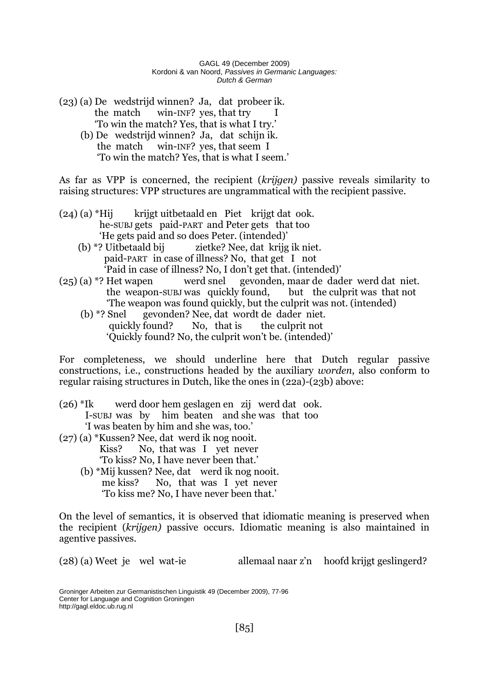- (23) (a) De wedstrijd winnen? Ja, dat probeer ik. the match win-INF? yes, that try 'To win the match? Yes, that is what I try.'
	- (b) De wedstrijd winnen? Ja, dat schijn ik. the match win-INF? yes, that seem I 'To win the match? Yes, that is what I seem.'

As far as VPP is concerned, the recipient (*krijgen)* passive reveals similarity to raising structures: VPP structures are ungrammatical with the recipient passive.

- (24) (a) \*Hij krijgt uitbetaald en Piet krijgt dat ook. he-SUBJ gets paid-PART and Peter gets that too 'He gets paid and so does Peter. (intended)'
	- (b) \*? Uitbetaald bij zietke? Nee, dat krijg ik niet. paid-PART in case of illness? No, that get I not 'Paid in case of illness? No, I don't get that. (intended)'
- (25) (a) \*? Het wapen werd snel gevonden, maar de dader werd dat niet. the weapon-SUBJ was quickly found, but the culprit was that not 'The weapon was found quickly, but the culprit was not. (intended)
	- (b) \*? Snel gevonden? Nee, dat wordt de dader niet. quickly found? No, that is the culprit not 'Quickly found? No, the culprit won't be. (intended)'

For completeness, we should underline here that Dutch regular passive constructions, i.e., constructions headed by the auxiliary *worden*, also conform to regular raising structures in Dutch, like the ones in (22a)-(23b) above:

- (26) \*Ik werd door hem geslagen en zij werd dat ook. I-SUBJ was by him beaten and she was that too 'I was beaten by him and she was, too.'
- (27) (a) \*Kussen? Nee, dat werd ik nog nooit. Kiss? No, that was I yet never 'To kiss? No, I have never been that.'
	- (b) \*Mij kussen? Nee, dat werd ik nog nooit. me kiss? No, that was I yet never 'To kiss me? No, I have never been that.'

On the level of semantics, it is observed that idiomatic meaning is preserved when the recipient (*krijgen)* passive occurs. Idiomatic meaning is also maintained in agentive passives.

(28) (a) Weet je wel wat-ie allemaal naar z'n hoofd krijgt geslingerd?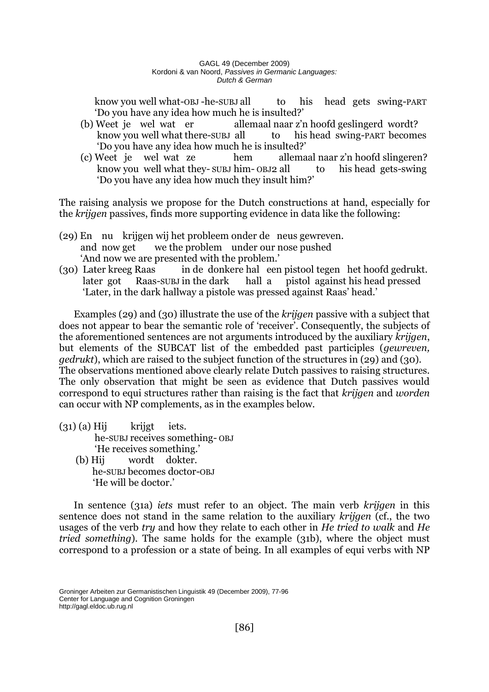know you well what-OBJ-he-SUBJ all to his head gets swing-PART 'Do you have any idea how much he is insulted?'

- (b) Weet je wel wat er allemaal naar z'n hoofd geslingerd wordt? know you well what there-subj all to his head swing-PART becomes 'Do you have any idea how much he is insulted?'
- (c) Weet je wel wat ze hem allemaal naar z'n hoofd slingeren? know you well what they- SUBJ him- OBJ2 all to his head gets-swing 'Do you have any idea how much they insult him?'

The raising analysis we propose for the Dutch constructions at hand, especially for the *krijgen* passives, finds more supporting evidence in data like the following:

- (29) En nu krijgen wij het probleem onder de neus gewreven. and now get we the problem under our nose pushed 'And now we are presented with the problem.'
- (30) Later kreeg Raas in de donkere hal een pistool tegen het hoofd gedrukt. later got Raas-SUBJ in the dark hall a pistol against his head pressed 'Later, in the dark hallway a pistole was pressed against Raas' head.'

Examples (29) and (30) illustrate the use of the *krijgen* passive with a subject that does not appear to bear the semantic role of 'receiver'. Consequently, the subjects of the aforementioned sentences are not arguments introduced by the auxiliary *krijgen*, but elements of the SUBCAT list of the embedded past participles (*gewreven, gedrukt*), which are raised to the subject function of the structures in (29) and (30). The observations mentioned above clearly relate Dutch passives to raising structures. The only observation that might be seen as evidence that Dutch passives would correspond to equi structures rather than raising is the fact that *krijgen* and *worden* can occur with NP complements, as in the examples below.

- $(31)$  (a) Hij krijgt iets. he-SUBJ receives something- OBJ 'He receives something.'
	- (b) Hij wordt dokter. he-SUBJ becomes doctor-OBJ 'He will be doctor.'

In sentence (31a) *iets* must refer to an object. The main verb *krijgen* in this sentence does not stand in the same relation to the auxiliary *krijgen* (cf., the two usages of the verb *try* and how they relate to each other in *He tried to walk* and *He tried something*). The same holds for the example (31b), where the object must correspond to a profession or a state of being. In all examples of equi verbs with NP

Groninger Arbeiten zur Germanistischen Linguistik 49 (December 2009), 77-96 Center for Language and Cognition Groningen http://gagl.eldoc.ub.rug.nl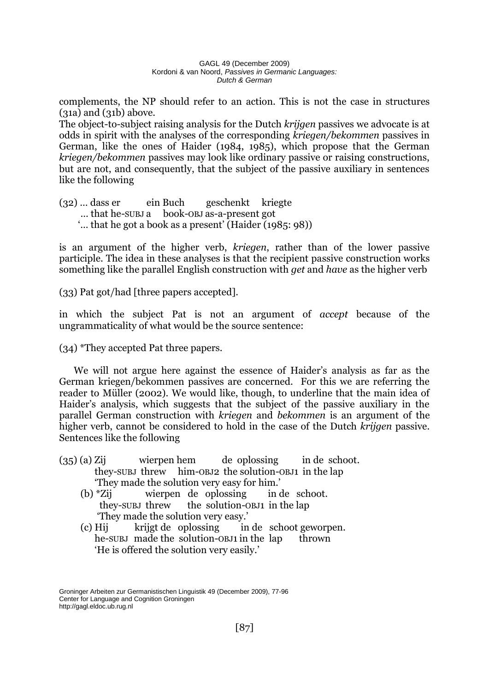complements, the NP should refer to an action. This is not the case in structures (31a) and (31b) above.

The object-to-subject raising analysis for the Dutch *krijgen* passives we advocate is at odds in spirit with the analyses of the corresponding *kriegen/bekommen* passives in German, like the ones of Haider (1984, 1985), which propose that the German *kriegen/bekommen* passives may look like ordinary passive or raising constructions, but are not, and consequently, that the subject of the passive auxiliary in sentences like the following

(32) … dass er ein Buch geschenkt kriegte … that he-SUBJ a book-OBJ as-a-present got '… that he got a book as a present' (Haider (1985: 98))

is an argument of the higher verb, *kriegen*, rather than of the lower passive participle. The idea in these analyses is that the recipient passive construction works something like the parallel English construction with *get* and *have* as the higher verb

(33) Pat got/had [three papers accepted].

in which the subject Pat is not an argument of *accept* because of the ungrammaticality of what would be the source sentence:

(34) \*They accepted Pat three papers.

We will not argue here against the essence of Haider's analysis as far as the German kriegen/bekommen passives are concerned. For this we are referring the reader to Müller (2002). We would like, though, to underline that the main idea of Haider's analysis, which suggests that the subject of the passive auxiliary in the parallel German construction with *kriegen* and *bekommen* is an argument of the higher verb, cannot be considered to hold in the case of the Dutch *krijgen* passive. Sentences like the following

- (35) (a) Zij wierpen hem de oplossing in de schoot. they-SUBJ threw him-OBJ2 the solution-OBJ1 in the lap 'They made the solution very easy for him.'
	- (b) \*Zij wierpen de oplossing in de schoot. they-SUBJ threw the solution-OBJ1 in the lap 'They made the solution very easy.'
	- (c) Hij krijgt de oplossing in de schoot geworpen. he-SUBJ made the solution-OBJ1 in the lap thrown 'He is offered the solution very easily.'

Groninger Arbeiten zur Germanistischen Linguistik 49 (December 2009), 77-96 Center for Language and Cognition Groningen http://gagl.eldoc.ub.rug.nl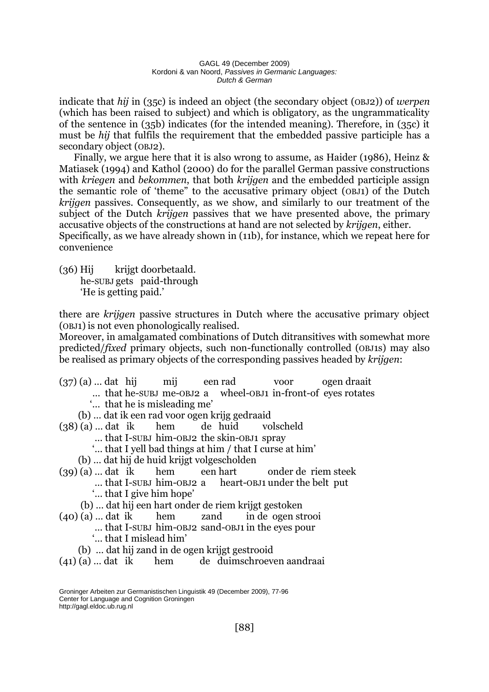indicate that *hij* in (35c) is indeed an object (the secondary object (OBJ2)) of *werpen* (which has been raised to subject) and which is obligatory, as the ungrammaticality of the sentence in (35b) indicates (for the intended meaning). Therefore, in (35c) it must be *hij* that fulfils the requirement that the embedded passive participle has a secondary object (OBJ2).

Finally, we argue here that it is also wrong to assume, as Haider (1986), Heinz & Matiasek (1994) and Kathol (2000) do for the parallel German passive constructions with *kriegen* and *bekommen*, that both *krijgen* and the embedded participle assign the semantic role of 'theme" to the accusative primary object (OBJ1) of the Dutch *krijgen* passives. Consequently, as we show, and similarly to our treatment of the subject of the Dutch *krijgen* passives that we have presented above, the primary accusative objects of the constructions at hand are not selected by *krijgen*, either. Specifically, as we have already shown in (11b), for instance, which we repeat here for convenience

(36) Hij krijgt doorbetaald. he-SUBJ gets paid-through 'He is getting paid.'

there are *krijgen* passive structures in Dutch where the accusative primary object (OBJ1) is not even phonologically realised.

Moreover, in amalgamated combinations of Dutch ditransitives with somewhat more predicted/*fixed* primary objects, such non-functionally controlled (OBJ1s) may also be realised as primary objects of the corresponding passives headed by *krijgen*:

|                                                        |  |  |  | $(37)(a)$ dat hij mij een rad voor ogen draait             |  |
|--------------------------------------------------------|--|--|--|------------------------------------------------------------|--|
|                                                        |  |  |  | that he-SUBJ me-OBJ2 a wheel-OBJ1 in-front-of eyes rotates |  |
| that he is misleading me'                              |  |  |  |                                                            |  |
| (b)  dat ik een rad voor ogen krijg gedraaid           |  |  |  |                                                            |  |
| $(38)(a)$ dat ik hem de huid volscheld                 |  |  |  |                                                            |  |
| that I-SUBJ him-OBJ2 the skin-OBJ1 spray               |  |  |  |                                                            |  |
| " that I yell bad things at him / that I curse at him" |  |  |  |                                                            |  |
| (b)  dat hij de huid krijgt volgescholden              |  |  |  |                                                            |  |
|                                                        |  |  |  | $(39)(a)$ $\dots$ dat ik hem een hart onder de riem steek  |  |
| that I-SUBJ him-OBJ2 a heart-OBJ1 under the belt put   |  |  |  |                                                            |  |
| " that I give him hope"                                |  |  |  |                                                            |  |
| (b)  dat hij een hart onder de riem krijgt gestoken    |  |  |  |                                                            |  |
|                                                        |  |  |  | $(40)(a)$ dat ik hem zand in de ogen strooi                |  |
| that I-SUBJ him-OBJ2 sand-OBJ1 in the eyes pour        |  |  |  |                                                            |  |
| ' that I mislead him'                                  |  |  |  |                                                            |  |

- (b) … dat hij zand in de ogen krijgt gestrooid
- (41) (a) … dat ik hem de duimschroeven aandraai

Groninger Arbeiten zur Germanistischen Linguistik 49 (December 2009), 77-96 Center for Language and Cognition Groningen http://gagl.eldoc.ub.rug.nl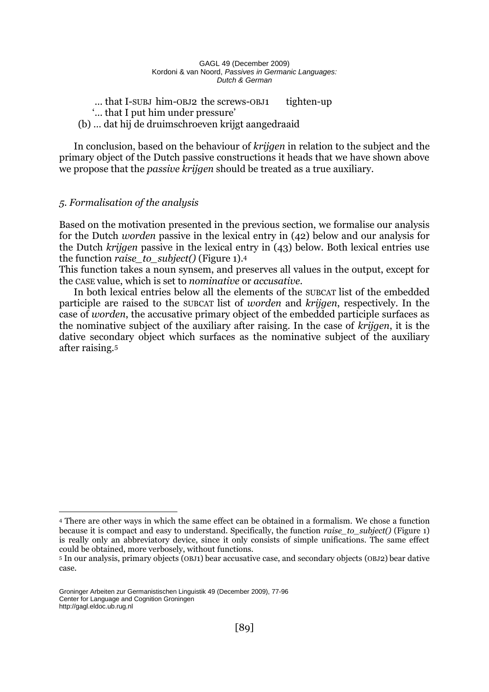... that I-SUBJ him-OBJ2 the screws-OBJ1 tighten-up '… that I put him under pressure' (b) … dat hij de druimschroeven krijgt aangedraaid

In conclusion, based on the behaviour of *krijgen* in relation to the subject and the primary object of the Dutch passive constructions it heads that we have shown above we propose that the *passive krijgen* should be treated as a true auxiliary.

## *5. Formalisation of the analysis*

Based on the motivation presented in the previous section, we formalise our analysis for the Dutch *worden* passive in the lexical entry in (42) below and our analysis for the Dutch *krijgen* passive in the lexical entry in (43) below. Both lexical entries use the function *raise\_to\_subject()* (Figure 1).<sup>4</sup>

This function takes a noun synsem, and preserves all values in the output, except for the CASE value, which is set to *nominative* or *accusative*.

In both lexical entries below all the elements of the SUBCAT list of the embedded participle are raised to the SUBCAT list of *worden* and *krijgen*, respectively. In the case of *worden*, the accusative primary object of the embedded participle surfaces as the nominative subject of the auxiliary after raising. In the case of *krijgen*, it is the dative secondary object which surfaces as the nominative subject of the auxiliary after raising.<sup>5</sup>

<sup>&</sup>lt;u>.</u> <sup>4</sup> There are other ways in which the same effect can be obtained in a formalism. We chose a function because it is compact and easy to understand. Specifically, the function *raise\_to\_subject()* (Figure 1) is really only an abbreviatory device, since it only consists of simple unifications. The same effect could be obtained, more verbosely, without functions.

<sup>5</sup> In our analysis, primary objects (OBJ1) bear accusative case, and secondary objects (OBJ2) bear dative case.

Groninger Arbeiten zur Germanistischen Linguistik 49 (December 2009), 77-96 Center for Language and Cognition Groningen http://gagl.eldoc.ub.rug.nl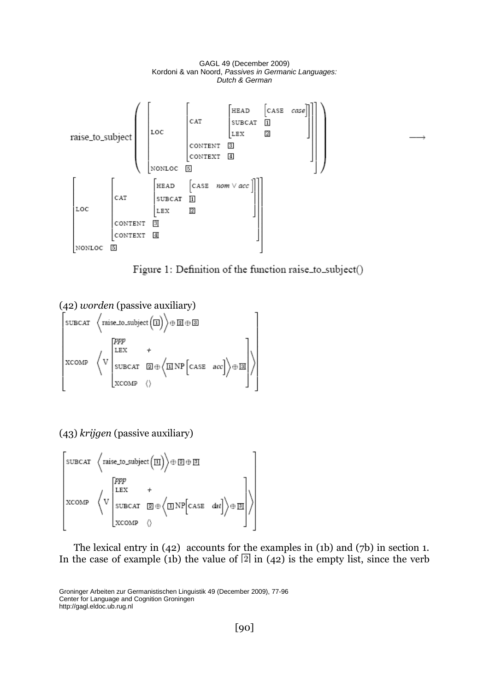

Figure 1: Definition of the function raise\_to\_subject()

(42) *worden* (passive auxiliary)  
\n
$$
\begin{bmatrix}\n\text{SUBCAT} & \left\langle \text{raise\_to\_subject}(\Box) \right\rangle \oplus \Box \oplus \Box \\
\text{SUBCAT} & \left\langle V \right| & \text{SUBCAT} & \Box \oplus \left\langle \Box \text{NP} \left[ \text{CASE} & \text{acc} \right] \right\rangle \oplus \Box\n\end{bmatrix}
$$
\n
$$
\begin{bmatrix}\n\text{PPP} & & & \\
\text{XCOMP} & \left\langle V \right| & & \\
\text{XCOMP} & \left\langle V \right| & & \\
\text{XCOMP} & \left\langle V \right| & & \\
\end{bmatrix}
$$

(43) *krijgen* (passive auxiliary)



The lexical entry in (42) accounts for the examples in (1b) and (7b) in section 1. In the case of example (1b) the value of  $\boxed{2}$  in (42) is the empty list, since the verb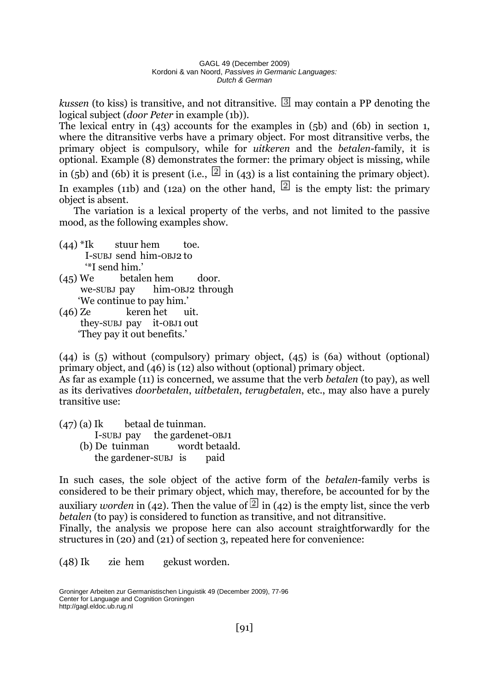*kussen* (to kiss) is transitive, and not ditransitive.  $\mathbb{B}$  may contain a PP denoting the logical subject (*door Peter* in example (1b)).

The lexical entry in (43) accounts for the examples in (5b) and (6b) in section 1, where the ditransitive verbs have a primary object. For most ditransitive verbs, the primary object is compulsory, while for *uitkeren* and the *betalen*-family, it is optional. Example (8) demonstrates the former: the primary object is missing, while

in (5b) and (6b) it is present (i.e.,  $\boxed{2}$  in (43) is a list containing the primary object).

In examples (11b) and (12a) on the other hand,  $\boxed{2}$  is the empty list: the primary object is absent.

The variation is a lexical property of the verbs, and not limited to the passive mood, as the following examples show.

- $(44)$ <sup>\*</sup>Ik stuur hem toe. I-SUBJ send him-OBJ2 to '\*I send him.'
- (45) We betalen hem door. we-SUBJ pay him-OBJ2 through 'We continue to pay him.'
- (46) Ze keren het uit. they-SUBJ pay it-OBJ1 out 'They pay it out benefits.'

(44) is (5) without (compulsory) primary object, (45) is (6a) without (optional) primary object, and (46) is (12) also without (optional) primary object.

As far as example (11) is concerned, we assume that the verb *betalen* (to pay), as well as its derivatives *doorbetalen*, *uitbetalen*, *terugbetalen*, etc., may also have a purely transitive use:

(47) (a) Ik betaal de tuinman.

- I-SUBJ pay the gardenet-OBJ1 (b) De tuinman wordt betaald.
	- the gardener-SUBJ is paid

In such cases, the sole object of the active form of the *betalen*-family verbs is considered to be their primary object, which may, therefore, be accounted for by the auxiliary *worden* in (42). Then the value of  $\boxed{2}$  in (42) is the empty list, since the verb *betalen* (to pay) is considered to function as transitive, and not ditransitive.

Finally, the analysis we propose here can also account straightforwardly for the structures in (20) and (21) of section 3, repeated here for convenience:

(48) Ik zie hem gekust worden.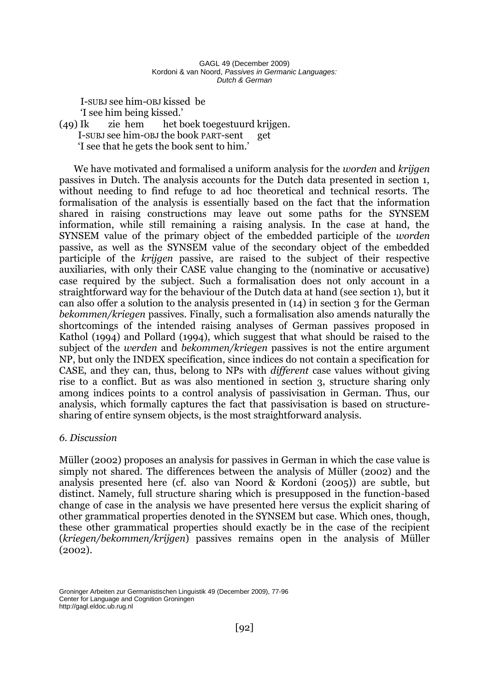I-SUBJ see him-OBJ kissed be

'I see him being kissed.'

## (49) Ik zie hem het boek toegestuurd krijgen. I-SUBJ see him-OBJ the book PART-sent get 'I see that he gets the book sent to him.'

We have motivated and formalised a uniform analysis for the *worden* and *krijgen* passives in Dutch. The analysis accounts for the Dutch data presented in section 1, without needing to find refuge to ad hoc theoretical and technical resorts. The formalisation of the analysis is essentially based on the fact that the information shared in raising constructions may leave out some paths for the SYNSEM information, while still remaining a raising analysis. In the case at hand, the SYNSEM value of the primary object of the embedded participle of the *worden* passive, as well as the SYNSEM value of the secondary object of the embedded participle of the *krijgen* passive, are raised to the subject of their respective auxiliaries, with only their CASE value changing to the (nominative or accusative) case required by the subject. Such a formalisation does not only account in a straightforward way for the behaviour of the Dutch data at hand (see section 1), but it can also offer a solution to the analysis presented in (14) in section 3 for the German *bekommen/kriegen* passives. Finally, such a formalisation also amends naturally the shortcomings of the intended raising analyses of German passives proposed in Kathol (1994) and Pollard (1994), which suggest that what should be raised to the subject of the *werden* and *bekommen/kriegen* passives is not the entire argument NP, but only the INDEX specification, since indices do not contain a specification for CASE, and they can, thus, belong to NPs with *different* case values without giving rise to a conflict. But as was also mentioned in section 3, structure sharing only among indices points to a control analysis of passivisation in German. Thus, our analysis, which formally captures the fact that passivisation is based on structuresharing of entire synsem objects, is the most straightforward analysis.

# *6. Discussion*

Müller (2002) proposes an analysis for passives in German in which the case value is simply not shared. The differences between the analysis of Müller (2002) and the analysis presented here (cf. also van Noord & Kordoni (2005)) are subtle, but distinct. Namely, full structure sharing which is presupposed in the function-based change of case in the analysis we have presented here versus the explicit sharing of other grammatical properties denoted in the SYNSEM but case. Which ones, though, these other grammatical properties should exactly be in the case of the recipient (*kriegen/bekommen/krijgen*) passives remains open in the analysis of Müller (2002).

Groninger Arbeiten zur Germanistischen Linguistik 49 (December 2009), 77-96 Center for Language and Cognition Groningen http://gagl.eldoc.ub.rug.nl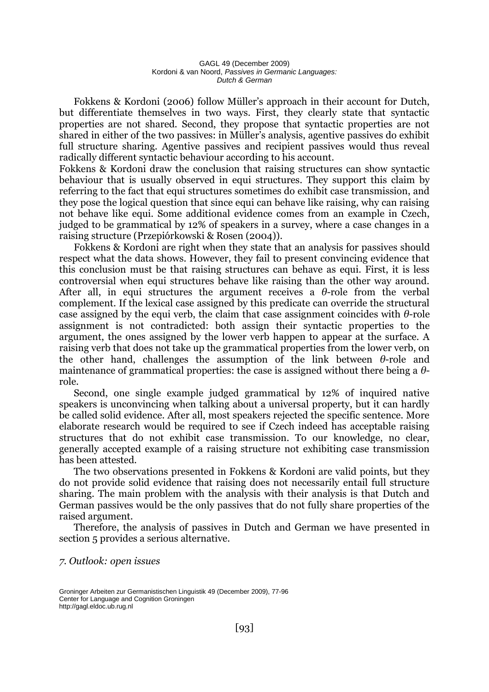Fokkens & Kordoni (2006) follow Müller's approach in their account for Dutch, but differentiate themselves in two ways. First, they clearly state that syntactic properties are not shared. Second, they propose that syntactic properties are not shared in either of the two passives: in Müller's analysis, agentive passives do exhibit full structure sharing. Agentive passives and recipient passives would thus reveal radically different syntactic behaviour according to his account.

Fokkens & Kordoni draw the conclusion that raising structures can show syntactic behaviour that is usually observed in equi structures. They support this claim by referring to the fact that equi structures sometimes do exhibit case transmission, and they pose the logical question that since equi can behave like raising, why can raising not behave like equi. Some additional evidence comes from an example in Czech, judged to be grammatical by 12% of speakers in a survey, where a case changes in a raising structure (Przepiórkowski & Rosen (2004)).

Fokkens & Kordoni are right when they state that an analysis for passives should respect what the data shows. However, they fail to present convincing evidence that this conclusion must be that raising structures can behave as equi. First, it is less controversial when equi structures behave like raising than the other way around. After all, in equi structures the argument receives a *θ*-role from the verbal complement. If the lexical case assigned by this predicate can override the structural case assigned by the equi verb, the claim that case assignment coincides with *θ*-role assignment is not contradicted: both assign their syntactic properties to the argument, the ones assigned by the lower verb happen to appear at the surface. A raising verb that does not take up the grammatical properties from the lower verb, on the other hand, challenges the assumption of the link between *θ*-role and maintenance of grammatical properties: the case is assigned without there being a *θ*role.

Second, one single example judged grammatical by 12% of inquired native speakers is unconvincing when talking about a universal property, but it can hardly be called solid evidence. After all, most speakers rejected the specific sentence. More elaborate research would be required to see if Czech indeed has acceptable raising structures that do not exhibit case transmission. To our knowledge, no clear, generally accepted example of a raising structure not exhibiting case transmission has been attested.

The two observations presented in Fokkens & Kordoni are valid points, but they do not provide solid evidence that raising does not necessarily entail full structure sharing. The main problem with the analysis with their analysis is that Dutch and German passives would be the only passives that do not fully share properties of the raised argument.

Therefore, the analysis of passives in Dutch and German we have presented in section 5 provides a serious alternative.

*7. Outlook: open issues* 

Groninger Arbeiten zur Germanistischen Linguistik 49 (December 2009), 77-96 Center for Language and Cognition Groningen http://gagl.eldoc.ub.rug.nl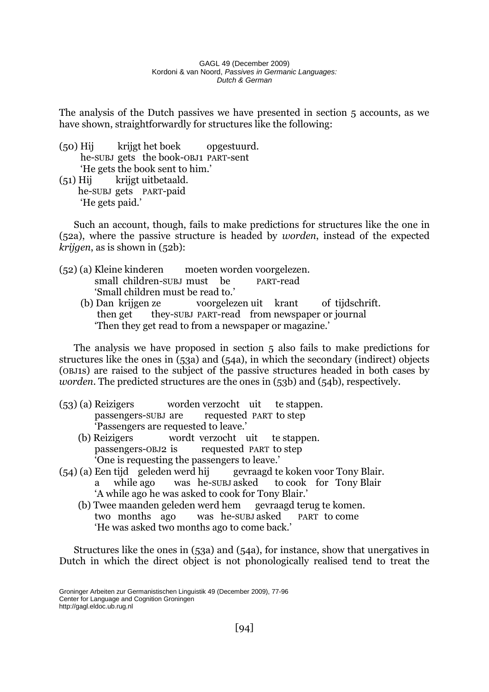The analysis of the Dutch passives we have presented in section 5 accounts, as we have shown, straightforwardly for structures like the following:

- (50) Hij krijgt het boek opgestuurd. he-SUBJ gets the book-OBJ1 PART-sent 'He gets the book sent to him.'
- (51) Hij krijgt uitbetaald. he-SUBJ gets PART-paid 'He gets paid.'

Such an account, though, fails to make predictions for structures like the one in (52a), where the passive structure is headed by *worden*, instead of the expected *krijgen*, as is shown in (52b):

- (52) (a) Kleine kinderen moeten worden voorgelezen. small children-SUBJ must be PART-read 'Small children must be read to.'
	- (b) Dan krijgen ze voorgelezen uit krant of tijdschrift. then get they-SUBJ PART-read from newspaper or journal 'Then they get read to from a newspaper or magazine.'

The analysis we have proposed in section 5 also fails to make predictions for structures like the ones in (53a) and (54a), in which the secondary (indirect) objects (OBJ1s) are raised to the subject of the passive structures headed in both cases by *worden*. The predicted structures are the ones in (53b) and (54b), respectively.

- (53) (a) Reizigers worden verzocht uit te stappen. passengers-SUBJ are requested PART to step 'Passengers are requested to leave.'
	- (b) Reizigers wordt verzocht uit te stappen. passengers-OBJ2 is requested PART to step 'One is requesting the passengers to leave.'
- (54) (a) Een tijd geleden werd hij gevraagd te koken voor Tony Blair. a while ago was he-SUBJ asked to cook for Tony Blair 'A while ago he was asked to cook for Tony Blair.'
	- (b) Twee maanden geleden werd hem gevraagd terug te komen. two months ago was he-SUBJ asked PART to come 'He was asked two months ago to come back.'

Structures like the ones in (53a) and (54a), for instance, show that unergatives in Dutch in which the direct object is not phonologically realised tend to treat the

Groninger Arbeiten zur Germanistischen Linguistik 49 (December 2009), 77-96 Center for Language and Cognition Groningen http://gagl.eldoc.ub.rug.nl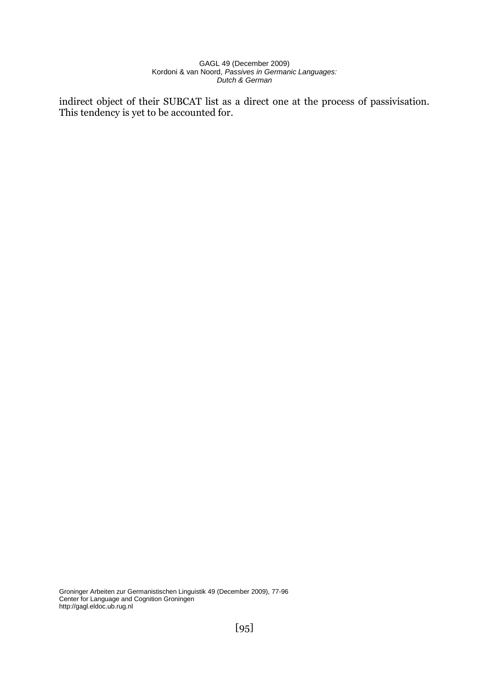indirect object of their SUBCAT list as a direct one at the process of passivisation. This tendency is yet to be accounted for.